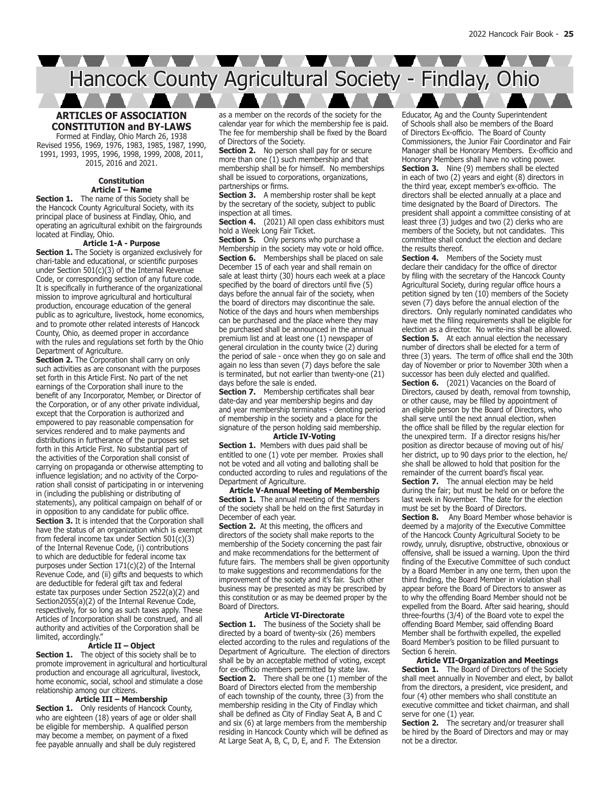<u> A A A A A A A A A A A A A A A A A</u> Hancock County Agricultural Society - Findlay, Ohio

## **ARTICLES OF ASSOCIATION CONSTITUTION and BY-LAWS** Formed at Findlay, Ohio March 26, 1938

Revised 1956, 1969, 1976, 1983, 1985, 1987, 1990, 1991, 1993, 1995, 1996, 1998, 1999, 2008, 2011, 2015, 2016 and 2021.

### **Constitution Article I – Name**

**Section 1.** The name of this Society shall be the Hancock County Agricultural Society, with its principal place of business at Findlay, Ohio, and operating an agricultural exhibit on the fairgrounds located at Findlay, Ohio.

#### **Article 1-A - Purpose**

**Section 1.** The Society is organized exclusively for chari-table and educational, or scientific purposes under Section 501(c)(3) of the Internal Revenue Code, or corresponding section of any future code. It is specifically in furtherance of the organizational mission to improve agricultural and horticultural production, encourage education of the general public as to agriculture, livestock, home economics, and to promote other related interests of Hancock County, Ohio, as deemed proper in accordance with the rules and regulations set forth by the Ohio Department of Agriculture.

**Section 2.** The Corporation shall carry on only such activities as are consonant with the purposes set forth in this Article First. No part of the net earnings of the Corporation shall inure to the benefit of any Incorporator, Member, or Director of the Corporation, or of any other private individual, except that the Corporation is authorized and empowered to pay reasonable compensation for services rendered and to make payments and distributions in furtherance of the purposes set forth in this Article First. No substantial part of the activities of the Corporation shall consist of carrying on propaganda or otherwise attempting to influence legislation; and no activity of the Corporation shall consist of participating in or intervening in (including the publishing or distributing of statements), any political campaign on behalf of or in opposition to any candidate for public office. **Section 3.** It is intended that the Corporation shall have the status of an organization which is exempt from federal income tax under Section 501(c)(3) of the Internal Revenue Code, (i) contributions to which are deductible for federal income tax purposes under Section 171(c)(2) of the Internal Revenue Code, and (ii) gifts and bequests to which are deductible for federal gift tax and federal estate tax purposes under Section 2522(a)(2) and Section2055(a)(2) of the Internal Revenue Code, respectively, for so long as such taxes apply. These Articles of Incorporation shall be construed, and all authority and activities of the Corporation shall be limited, accordingly."

# **Article II – Object**

**Section 1.** The object of this society shall be to promote improvement in agricultural and horticultural production and encourage all agricultural, livestock, home economic, social, school and stimulate a close relationship among our citizens.

## **Article III – Membership**

**Section 1.** Only residents of Hancock County, who are eighteen (18) years of age or older shall be eligible for membership. A qualified person may become a member, on payment of a fixed fee payable annually and shall be duly registered as a member on the records of the society for the calendar year for which the membership fee is paid. The fee for membership shall be fixed by the Board of Directors of the Society.

**Section 2.** No person shall pay for or secure more than one (1) such membership and that membership shall be for himself. No memberships shall be issued to corporations, organizations, partnerships or firms.

**Section 3.** A membership roster shall be kept by the secretary of the society, subject to public inspection at all times.

Section 4. (2021) All open class exhibitors must hold a Week Long Fair Ticket.

**Section 5.** Only persons who purchase a Membership in the society may vote or hold office. **Section 6.** Memberships shall be placed on sale December 15 of each year and shall remain on sale at least thirty (30) hours each week at a place specified by the board of directors until five (5) days before the annual fair of the society, when the board of directors may discontinue the sale. Notice of the days and hours when memberships can be purchased and the place where they may be purchased shall be announced in the annual premium list and at least one (1) newspaper of general circulation in the county twice (2) during the period of sale - once when they go on sale and again no less than seven (7) days before the sale is terminated, but not earlier than twenty-one (21) days before the sale is ended.

**Section 7.** Membership certificates shall bear date-day and year membership begins and day and year membership terminates - denoting period of membership in the society and a place for the signature of the person holding said membership.

# **Article IV-Voting**

**Section 1.** Members with dues paid shall be entitled to one (1) vote per member. Proxies shall not be voted and all voting and balloting shall be conducted according to rules and regulations of the Department of Agriculture.

**Article V-Annual Meeting of Membership Section 1.** The annual meeting of the members of the society shall be held on the first Saturday in December of each year.

**Section 2.** At this meeting, the officers and directors of the society shall make reports to the membership of the Society concerning the past fair and make recommendations for the betterment of future fairs. The members shall be given opportunity to make suggestions and recommendations for the improvement of the society and it's fair. Such other business may be presented as may be prescribed by this constitution or as may be deemed proper by the Board of Directors.

#### **Article VI-Directorate**

**Section 1.** The business of the Society shall be directed by a board of twenty-six (26) members elected according to the rules and regulations of the Department of Agriculture. The election of directors shall be by an acceptable method of voting, except for ex-officio members permitted by state law. **Section 2.** There shall be one (1) member of the Board of Directors elected from the membership of each township of the county, three (3) from the membership residing in the City of Findlay which shall be defined as City of Findlay Seat A, B and C and six (6) at large members from the membership residing in Hancock County which will be defined as At Large Seat A, B, C, D, E, and F. The Extension

Educator, Ag and the County Superintendent of Schools shall also be members of the Board of Directors Ex-officio. The Board of County Commissioners, the Junior Fair Coordinator and Fair Manager shall be Honorary Members. Ex-officio and Honorary Members shall have no voting power. **Section 3.** Nine (9) members shall be elected in each of two (2) years and eight (8) directors in the third year, except member's ex-officio. The directors shall be elected annually at a place and time designated by the Board of Directors. The president shall appoint a committee consisting of at least three (3) judges and two (2) clerks who are members of the Society, but not candidates. This committee shall conduct the election and declare the results thereof.

**Section 4.** Members of the Society must declare their candidacy for the office of director by filing with the secretary of the Hancock County Agricultural Society, during regular office hours a petition signed by ten (10) members of the Society seven (7) days before the annual election of the directors. Only regularly nominated candidates who have met the filing requirements shall be eligible for election as a director. No write-ins shall be allowed. **Section 5.** At each annual election the necessary number of directors shall be elected for a term of three (3) years. The term of office shall end the 30th day of November or prior to November 30th when a successor has been duly elected and qualified.

**Section 6.** (2021) Vacancies on the Board of Directors, caused by death, removal from township, or other cause, may be filled by appointment of an eligible person by the Board of Directors, who shall serve until the next annual election, when the office shall be filled by the regular election for the unexpired term. If a director resigns his/her position as director because of moving out of his/ her district, up to 90 days prior to the election, he/ she shall be allowed to hold that position for the remainder of the current board's fiscal year.

**Section 7.** The annual election may be held during the fair; but must be held on or before the last week in November. The date for the election must be set by the Board of Directors.

**Section 8.** Any Board Member whose behavior is deemed by a majority of the Executive Committee of the Hancock County Agricultural Society to be rowdy, unruly, disruptive, obstructive, obnoxious or offensive, shall be issued a warning. Upon the third finding of the Executive Committee of such conduct by a Board Member in any one term, then upon the third finding, the Board Member in violation shall appear before the Board of Directors to answer as to why the offending Board Member should not be expelled from the Board. After said hearing, should three-fourths (3/4) of the Board vote to expel the offending Board Member, said offending Board Member shall be forthwith expelled, the expelled Board Member's position to be filled pursuant to Section 6 herein.

**Article VII-Organization and Meetings Section 1.** The Board of Directors of the Society shall meet annually in November and elect, by ballot from the directors, a president, vice president, and four (4) other members who shall constitute an executive committee and ticket chairman, and shall serve for one (1) year.

**Section 2.** The secretary and/or treasurer shall be hired by the Board of Directors and may or may not be a director.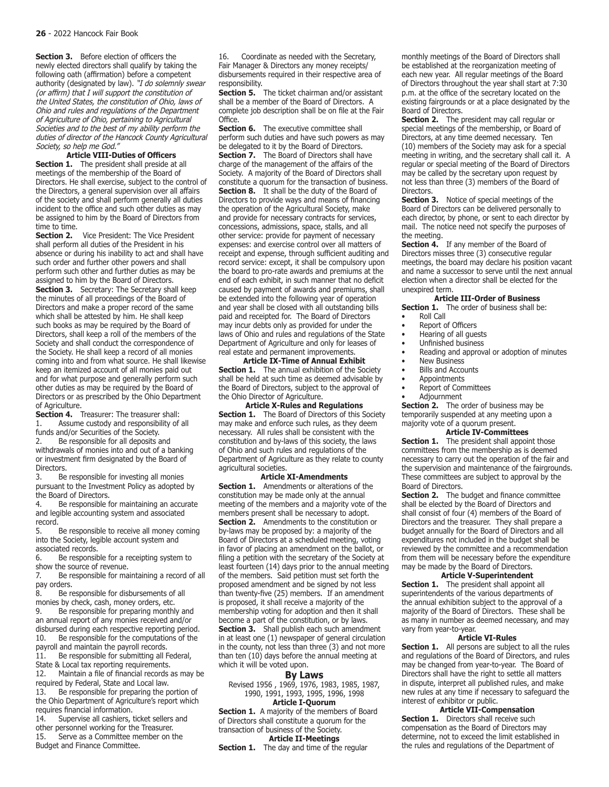**Section 3.** Before election of officers the newly elected directors shall qualify by taking the following oath (affirmation) before a competent authority (designated by law). "I do solemnly swear (or affirm) that I will support the constitution of the United States, the constitution of Ohio, laws of Ohio and rules and regulations of the Department of Agriculture of Ohio, pertaining to Agricultural Societies and to the best of my ability perform the duties of director of the Hancock County Agricultural Society, so help me God."

**Article VIII-Duties of Officers Section 1.** The president shall preside at all meetings of the membership of the Board of Directors. He shall exercise, subject to the control of the Directors, a general supervision over all affairs of the society and shall perform generally all duties incident to the office and such other duties as may be assigned to him by the Board of Directors from time to time.<br>Section 2.

**Section 2.** Vice President: The Vice President shall perform all duties of the President in his absence or during his inability to act and shall have such order and further other powers and shall perform such other and further duties as may be assigned to him by the Board of Directors. **Section 3.** Secretary: The Secretary shall keep the minutes of all proceedings of the Board of Directors and make a proper record of the same which shall be attested by him. He shall keep such books as may be required by the Board of Directors, shall keep a roll of the members of the Society and shall conduct the correspondence of the Society. He shall keep a record of all monies coming into and from what source. He shall likewise keep an itemized account of all monies paid out and for what purpose and generally perform such other duties as may be required by the Board of Directors or as prescribed by the Ohio Department of Agriculture.

**Section 4.** Treasurer: The treasurer shall:<br>1. Assume custody and responsibility of Assume custody and responsibility of all funds and/or Securities of the Society.<br>2. Be responsible for all deposits a

Be responsible for all deposits and withdrawals of monies into and out of a banking or investment firm designated by the Board of

Directors.<br>3. Be Be responsible for investing all monies pursuant to the Investment Policy as adopted by the Board of Directors.<br>4. Be responsible f

Be responsible for maintaining an accurate and legible accounting system and associated record.<br>5.

Be responsible to receive all money coming into the Society, legible account system and associated records.

6. Be responsible for a receipting system to show the source of revenue.<br>7. Be responsible for ma

Be responsible for maintaining a record of all pay orders.<br>8. Be n

Be responsible for disbursements of all monies by check, cash, money orders, etc.<br>9. Be responsible for preparing month

Be responsible for preparing monthly and an annual report of any monies received and/or disbursed during each respective reporting period.<br>10. Be responsible for the computations of the Be responsible for the computations of the payroll and maintain the payroll records.<br>11. Be responsible for submitting all f Be responsible for submitting all Federal,

State & Local tax reporting requirements.<br>12. Maintain a file of financial records Maintain a file of financial records as may be required by Federal, State and Local law.<br>13. Be responsible for preparing the p

Be responsible for preparing the portion of the Ohio Department of Agriculture's report which requires financial information.<br>14. Supervise all cashiers.

Supervise all cashiers, ticket sellers and other personnel working for the Treasurer.<br>15. Serve as a Committee member on t Serve as a Committee member on the Budget and Finance Committee.

16. Coordinate as needed with the Secretary, Fair Manager & Directors any money receipts/ disbursements required in their respective area of responsibility.

**Section 5.** The ticket chairman and/or assistant shall be a member of the Board of Directors. A complete job description shall be on file at the Fair Office.

Section 6. The executive committee shall perform such duties and have such powers as may be delegated to it by the Board of Directors. **Section 7.** The Board of Directors shall have charge of the management of the affairs of the Society. A majority of the Board of Directors shall constitute a quorum for the transaction of business. **Section 8.** It shall be the duty of the Board of Directors to provide ways and means of financing the operation of the Agricultural Society, make and provide for necessary contracts for services, concessions, admissions, space, stalls, and all other service: provide for payment of necessary expenses: and exercise control over all matters of receipt and expense, through sufficient auditing and record service: except, it shall be compulsory upon the board to pro-rate awards and premiums at the end of each exhibit, in such manner that no deficit caused by payment of awards and premiums, shall be extended into the following year of operation and year shall be closed with all outstanding bills paid and receipted for. The Board of Directors may incur debts only as provided for under the laws of Ohio and rules and regulations of the State Department of Agriculture and only for leases of real estate and permanent improvements.

**Article IX-Time of Annual Exhibit Section 1.** The annual exhibition of the Society shall be held at such time as deemed advisable by the Board of Directors, subject to the approval of the Ohio Director of Agriculture.

**Article X-Rules and Regulations** Section 1. The Board of Directors of this Society may make and enforce such rules, as they deem necessary. All rules shall be consistent with the constitution and by-laws of this society, the laws of Ohio and such rules and regulations of the Department of Agriculture as they relate to county agricultural societies.

**Article XI-Amendments Section 1.** Amendments or alterations of the constitution may be made only at the annual meeting of the members and a majority vote of the members present shall be necessary to adopt. **Section 2.** Amendments to the constitution or by-laws may be proposed by: a majority of the Board of Directors at a scheduled meeting, voting in favor of placing an amendment on the ballot, or filing a petition with the secretary of the Society at least fourteen (14) days prior to the annual meeting of the members. Said petition must set forth the proposed amendment and be signed by not less than twenty-five (25) members. If an amendment is proposed, it shall receive a majority of the membership voting for adoption and then it shall become a part of the constitution, or by laws. **Section 3.** Shall publish each such amendment in at least one (1) newspaper of general circulation in the county, not less than three (3) and not more than ten (10) days before the annual meeting at which it will be voted upon.

### **By Laws**

Revised 1956 , 1969, 1976, 1983, 1985, 1987, 1990, 1991, 1993, 1995, 1996, 1998

## **Article I-Quorum**

**Section 1.** A majority of the members of Board of Directors shall constitute a quorum for the transaction of business of the Society. **Article II-Meetings**

**Section 1.** The day and time of the regular

monthly meetings of the Board of Directors shall be established at the reorganization meeting of each new year. All regular meetings of the Board of Directors throughout the year shall start at 7:30 p.m. at the office of the secretary located on the existing fairgrounds or at a place designated by the Board of Directors.

**Section 2.** The president may call regular or special meetings of the membership, or Board of Directors, at any time deemed necessary. Ten (10) members of the Society may ask for a special meeting in writing, and the secretary shall call it. A regular or special meeting of the Board of Directors may be called by the secretary upon request by not less than three (3) members of the Board of Directors.

**Section 3.** Notice of special meetings of the Board of Directors can be delivered personally to each director, by phone, or sent to each director by mail. The notice need not specify the purposes of the meeting.

**Section 4.** If any member of the Board of Directors misses three (3) consecutive regular meetings, the board may declare his position vacant and name a successor to serve until the next annual election when a director shall be elected for the unexpired term.

#### **Article III-Order of Business**

**Section 1.** The order of business shall be:

- Roll Call<br>• Report of
- Report of Officers
- Hearing of all guests
- Unfinished business
- Reading and approval or adoption of minutes
- **New Business**
- **Bills and Accounts**
- **Appointments**
- Report of Committees
- Adjournment

**Section 2.** The order of business may be temporarily suspended at any meeting upon a majority vote of a quorum present.

#### **Article IV-Committees**

**Section 1.** The president shall appoint those committees from the membership as is deemed necessary to carry out the operation of the fair and the supervision and maintenance of the fairgrounds. These committees are subject to approval by the Board of Directors.

**Section 2.** The budget and finance committee shall be elected by the Board of Directors and shall consist of four (4) members of the Board of Directors and the treasurer. They shall prepare a budget annually for the Board of Directors and all expenditures not included in the budget shall be reviewed by the committee and a recommendation from them will be necessary before the expenditure may be made by the Board of Directors.

# **Article V-Superintendent**

**Section 1.** The president shall appoint all superintendents of the various departments of the annual exhibition subject to the approval of a majority of the Board of Directors. These shall be as many in number as deemed necessary, and may vary from year-to-year.

## **Article VI-Rules**

**Section 1.** All persons are subject to all the rules and regulations of the Board of Directors, and rules may be changed from year-to-year. The Board of Directors shall have the right to settle all matters in dispute, interpret all published rules, and make new rules at any time if necessary to safeguard the interest of exhibitor or public.

# **Article VII-Compensation**

**Section 1.** Directors shall receive such compensation as the Board of Directors may determine, not to exceed the limit established in the rules and regulations of the Department of